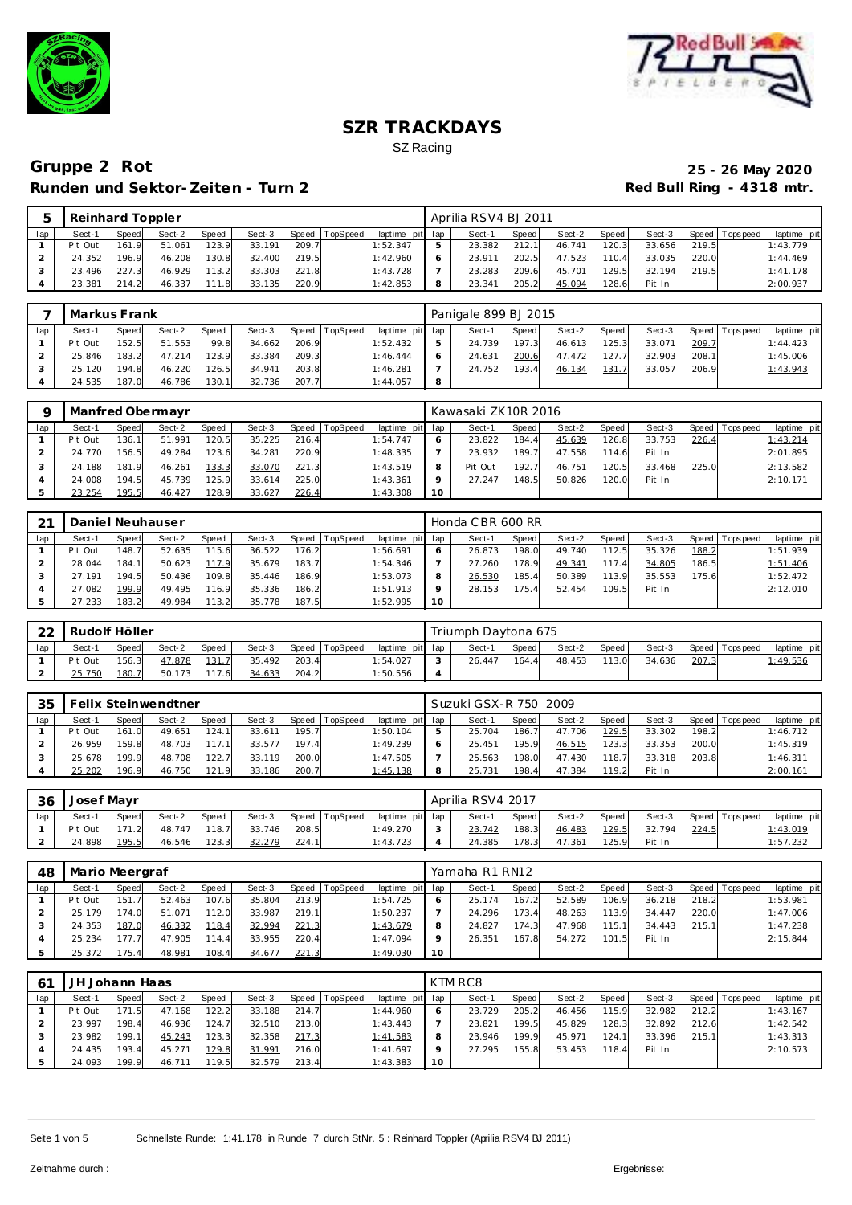



# **Gruppe 2 Rot 25 - 26 May 2020 Runden und Sektor-Zeiten - Turn 2**

| Reinhard Toppler |       |        |       |        |       |                |                 |    | Aprilia RSV4 BJ 2011 |       |        |        |        |       |                |             |
|------------------|-------|--------|-------|--------|-------|----------------|-----------------|----|----------------------|-------|--------|--------|--------|-------|----------------|-------------|
| Sect-′           | Speed | Sect-2 | Speed | Sect-3 |       | Speed TopSpeed | laptime pit lap |    | Sect-1               | Speed | Sect-2 | Speed  | Sect-3 |       | Speed Topspeed | laptime pit |
| Pit Out          | 161.9 | 51.061 | 123.9 | 33.191 | 209.7 |                | 1:52.347        | ь  | 23.382               | 212.1 | 46.741 | 120.3  | 33.656 | 219.5 |                | 1:43.779    |
| 24.352           | 196.9 | 46.208 | 130.8 | 32.400 | 219.5 |                | 1:42.960        | -6 | 23.911               | 202.5 | 47.523 | 110.4  | 33.035 | 220.0 |                | 1:44.469    |
| 23.496           | 227.3 | 46.929 | 113.2 | 33.303 | 221.8 |                | 1:43.728        |    | 23.283               | 209.6 | 45.701 | '29.5' | 32.194 | 219.5 |                | 1:41.178    |
| 23.381           | 214.2 | 46.337 | 11.8  | 33.135 | 220.9 |                | 1:42.853        | -8 | 23.341               | 205.2 | 45.094 | '28.6' | Pit In |       |                | 2:00.937    |

|     | Markus Frank |              |        |              |        |       |          |                 |   | Panigale 899 BJ 2015 |       |        |       |        |       |                |             |
|-----|--------------|--------------|--------|--------------|--------|-------|----------|-----------------|---|----------------------|-------|--------|-------|--------|-------|----------------|-------------|
| lap | Sect-1       | <b>Speed</b> | Sect-2 | <b>Speed</b> | Sect-3 | Speed | TopSpeed | laptime pit lap |   | Sect-1               | Speed | Sect-2 | Speed | Sect-3 |       | Speed Topspeed | laptime pit |
|     | Pit Out      | 152.5        | 51.553 | 99.8         | 34.662 | 206.9 |          | 1:52.432        |   | 24.739               | 197.3 | 46.613 | 125.3 | 33.071 | 209.7 |                | 1:44.423    |
|     | 25.846       | 183.2        | 47.214 | 123.9        | 33.384 | 209.3 |          | 1:46.444        |   | 24.631               | 200.6 | 47.472 | 127.7 | 32.903 | 208.1 |                | 1:45.006    |
|     | 25.120       | 194.8        | 46.220 | 126.5        | 34.941 | 203.8 |          | 1:46.281        |   | 24.752               | 193.4 | 46.134 | 131.7 | 33.057 | 206.9 |                | 1:43.943    |
|     | 24.535       | 187.0        | 46.786 | 130.1        | 32.736 | 207.7 |          | 1:44.057        | 8 |                      |       |        |       |        |       |                |             |

|     |         |       | Manfred Obermayr |       |        |       |                |                 |         | Kawasaki ZK10R 2016 |       |        |       |        |       |                 |             |
|-----|---------|-------|------------------|-------|--------|-------|----------------|-----------------|---------|---------------------|-------|--------|-------|--------|-------|-----------------|-------------|
| lap | Sect-1  | Speed | Sect-2           | Speed | Sect-3 |       | Speed TopSpeed | laptime pit lap |         | Sect-1              | Speed | Sect-2 | Speed | Sect-3 |       | Speed Tops peed | laptime pit |
|     | Pit Out | 136.1 | 51.991           | 120.5 | 35.225 | 216.4 |                | 1:54.747        |         | 23.822              | 184.4 | 45.639 | 126.8 | 33.753 | 226.4 |                 | 1:43.214    |
|     | 24.770  | 156.5 | 49.284           | 123.6 | 34.281 | 220.9 |                | 1:48.335        |         | 23.932              | 189.7 | 47.558 | 114.6 | Pit In |       |                 | 2:01.895    |
|     | 24.188  | 181.9 | 46.261           | 133.3 | 33.070 | 221.3 |                | 1:43.519        | 8       | Pit Out             | 192.7 | 46.751 | 120.5 | 33.468 | 225.0 |                 | 2:13.582    |
|     | 24.008  | 194.5 | 45.739           | 125.9 | 33.614 | 225.0 |                | 1:43.361        | $\circ$ | 27.247              | 148.5 | 50.826 | 120.0 | Pit In |       |                 | 2:10.171    |
|     | 23.254  | 195.5 | 46.427           | 128.9 | 33.627 | 226.4 |                | 1:43.308        | 10      |                     |       |        |       |        |       |                 |             |

| 21  |         |       | Daniel Neuhauser |       |        |       |          |                 |    | Honda CBR 600 RR |         |        |       |        |       |                 |             |
|-----|---------|-------|------------------|-------|--------|-------|----------|-----------------|----|------------------|---------|--------|-------|--------|-------|-----------------|-------------|
| lap | Sect-1  | Speed | Sect-2           | Speed | Sect-3 | Speed | TopSpeed | laptime pit lap |    | Sect-1           | Speed I | Sect-2 | Speed | Sect-3 |       | Speed Tops peed | laptime pit |
|     | Pit Out | 148.7 | 52.635           | 115.6 | 36.522 | 176.2 |          | 1:56.691        |    | 26.873           | 198.0   | 49.740 | 112.5 | 35.326 | 188.2 |                 | 1:51.939    |
|     | 28.044  | 184.1 | 50.623           | 117.9 | 35.679 | 183.7 |          | 1:54.346        |    | 27.260           | 178.9   | 49.341 | 117.4 | 34.805 | 186.5 |                 | 1:51.406    |
|     | 27.191  | 194.5 | 50.436           | 109.8 | 35.446 | 186.9 |          | 1:53.073        |    | 26.530           | 185.4   | 50.389 | 113.9 | 35.553 | 175.6 |                 | 1:52.472    |
|     | 27.082  | 199.9 | 49.495           | 116.9 | 35.336 | 186.2 |          | 1:51.913        |    | 28.153           | 175.4   | 52.454 | 109.5 | Pit In |       |                 | 2:12.010    |
|     | 27.233  | 183.2 | 49.984           | 113.2 | 35.778 | 187.5 |          | 1:52.995        | 10 |                  |         |        |       |        |       |                 |             |

| $\cap$ | Rudolf Höller |       |        |              |        |       |          |                 | Triumph Daytona 675 |       |        |         |        |       |                 |                  |
|--------|---------------|-------|--------|--------------|--------|-------|----------|-----------------|---------------------|-------|--------|---------|--------|-------|-----------------|------------------|
| lap    | Sect-1        | Speed | Sect-2 | <b>Speed</b> | Sect-3 | Speed | TopSpeed | laptime pit lap | Sect-1              | Speed | Sect-2 | Speed I | Sect-3 |       | Speed Tops peed | laptime pit      |
|        | Pit Out       | 156.3 | 47.878 | 131.7        | 35.492 | 203.4 |          | :54.027         | 26.447              | 164.4 | 48.453 | 113.0   | 34.636 | 207.3 |                 | <u> 1:49.536</u> |
|        | 25.750        | 180.7 | 50.173 | 117.6        | 34.633 | 204.2 |          | :50.556         |                     |       |        |         |        |       |                 |                  |

| 35  |         |       | Felix Steinwendtner |       |        |       |                  |                 |               | Suzuki GSX-R 750 2009 |       |        |        |        |       |                 |             |
|-----|---------|-------|---------------------|-------|--------|-------|------------------|-----------------|---------------|-----------------------|-------|--------|--------|--------|-------|-----------------|-------------|
| lap | Sect-1  | Speed | Sect-2              | Speed | Sect-3 |       | Speed   TopSpeed | laptime pit lap |               | Sect-1                | Speed | Sect-2 | Speed  | Sect-3 |       | Speed Tops peed | laptime pit |
|     | Pit Out | 161.0 | 49.651              | 124.1 | 33.611 | 195.7 |                  | 1:50.104        | $\mathcal{P}$ | 25.704                | 186.7 | 47.706 | 129.5  | 33.302 | 198.2 |                 | 1:46.712    |
|     | 26.959  | 159.8 | 48.703              | 1171  | 33.577 | 197.4 |                  | 1:49.239        |               | 25.451                | 195.9 | 46.515 | 23.3   | 33.353 | 200.0 |                 | 1:45.319    |
|     | 25.678  | 199.9 | 48.708              | 122.7 | 33.119 | 200.0 |                  | 1:47.505        |               | 25.563                | 198.0 | 47.430 | ' 18.7 | 33.318 | 203.8 |                 | 1:46.311    |
|     | 25.202  | 196.9 | 46.750              | 121.9 | 33.186 | 200.7 |                  | 1:45.138        | 8             | 25.731                | 198.4 | 47.384 | 119.2  | Pit In |       |                 | 2:00.161    |

| 36  | Josef Mayr |       |        |       |        |       |                |                 | Aprilia RSV4 2017 |       |        |       |        |       |                   |             |
|-----|------------|-------|--------|-------|--------|-------|----------------|-----------------|-------------------|-------|--------|-------|--------|-------|-------------------|-------------|
| lap | Sect-1     | Speed | Sect-2 | Speed | Sect-3 |       | Speed TopSpeed | laptime pit lap | Sect-1            | Speed | Sect-2 | Speed | Sect-3 |       | Speed   Tops peed | laptime pit |
|     | Pit Out    | 171.2 | 48.747 | 118.7 | 33.746 | 208.5 |                | 1:49.270        | 23.742            | 188.3 | 46.483 | 129.5 | 32.794 | 224.5 |                   | 1:43.019    |
|     | 24.898     | 195.5 | 46.546 | 123.3 | 32.279 | 224.1 |                | 1:43.723        | 24.385            | 178.3 | 47.361 | 125.9 | Pit In |       |                   | 1:57.232    |

| 48  | Mario Meergraf |       |        |       |        |       |                |                 |    | Yamaha R1 RN12 |         |        |         |        |       |                |             |
|-----|----------------|-------|--------|-------|--------|-------|----------------|-----------------|----|----------------|---------|--------|---------|--------|-------|----------------|-------------|
| lap | Sect-1         | Speed | Sect-2 | Speed | Sect-3 |       | Speed TopSpeed | laptime pit lap |    | Sect-1         | Speed I | Sect-2 | Speed I | Sect-3 |       | Speed Topspeed | laptime pit |
|     | Pit Out        | 151.7 | 52.463 | 107.6 | 35.804 | 213.9 |                | 1:54.725        |    | 25.174         | 167.2   | 52.589 | 106.9   | 36.218 | 218.2 |                | 1:53.981    |
|     | 25.179         | 174.0 | 51.071 | 112.0 | 33.987 | 219.1 |                | 1:50.237        |    | 24.296         | 173.4   | 48.263 | 113.9   | 34.447 | 220.0 |                | 1:47.006    |
|     | 24.353         | 187.0 | 46.332 | 118.4 | 32.994 | 221.3 |                | 1:43.679        |    | 24.827         | 174.3   | 47.968 | 115.1   | 34.443 | 215.1 |                | 1:47.238    |
|     | 25.234         | 177.7 | 47.905 | 114.4 | 33.955 | 220.4 |                | 1:47.094        |    | 26.351         | 167.8   | 54.272 | 101.5   | Pit In |       |                | 2:15.844    |
|     | 25.372         | 75.4  | 48.981 | 108.4 | 34.677 | 221.3 |                | 1:49.030        | 10 |                |         |        |         |        |       |                |             |

| 6 <sup>1</sup> | JH Johann Haas |       |        |              |        |       |                |             |     | KTM RC8 |       |        |       |        |       |                |             |
|----------------|----------------|-------|--------|--------------|--------|-------|----------------|-------------|-----|---------|-------|--------|-------|--------|-------|----------------|-------------|
| lap            | Sect-1         | Speed | Sect-2 | <b>Speed</b> | Sect-3 |       | Speed TopSpeed | laptime pit | lap | Sect-1  | Speed | Sect-2 | Speed | Sect-3 |       | Speed Topspeed | laptime pit |
|                | Pit Out        | 171.5 | 47.168 | 122.2        | 33.188 | 214.7 |                | 1:44.960    | 6   | 23.729  | 205.2 | 46.456 | 115.9 | 32.982 | 212.2 |                | 1:43.167    |
|                | 23.997         | 198.4 | 46.936 | 124.7        | 32.510 | 213.0 |                | 1:43.443    |     | 23.821  | 199.5 | 45.829 | 128.3 | 32.892 | 212.6 |                | 1:42.542    |
|                | 23.982         | 199.1 | 45.243 | 123.3        | 32.358 | 217.3 |                | 1:41.583    | 8   | 23.946  | 199.9 | 45.971 | 124.1 | 33.396 | 215.1 |                | 1:43.313    |
|                | 24.435         | 193.4 | 45.271 | 129.8        | 31.991 | 216.0 |                | 1:41.697    | o   | 27.295  | 155.8 | 53.453 | 118.4 | Pit In |       |                | 2:10.573    |
|                | 24.093         | 199.9 | 46.711 | 119.5        | 32.579 | 213.4 |                | 1:43.383    | 10  |         |       |        |       |        |       |                |             |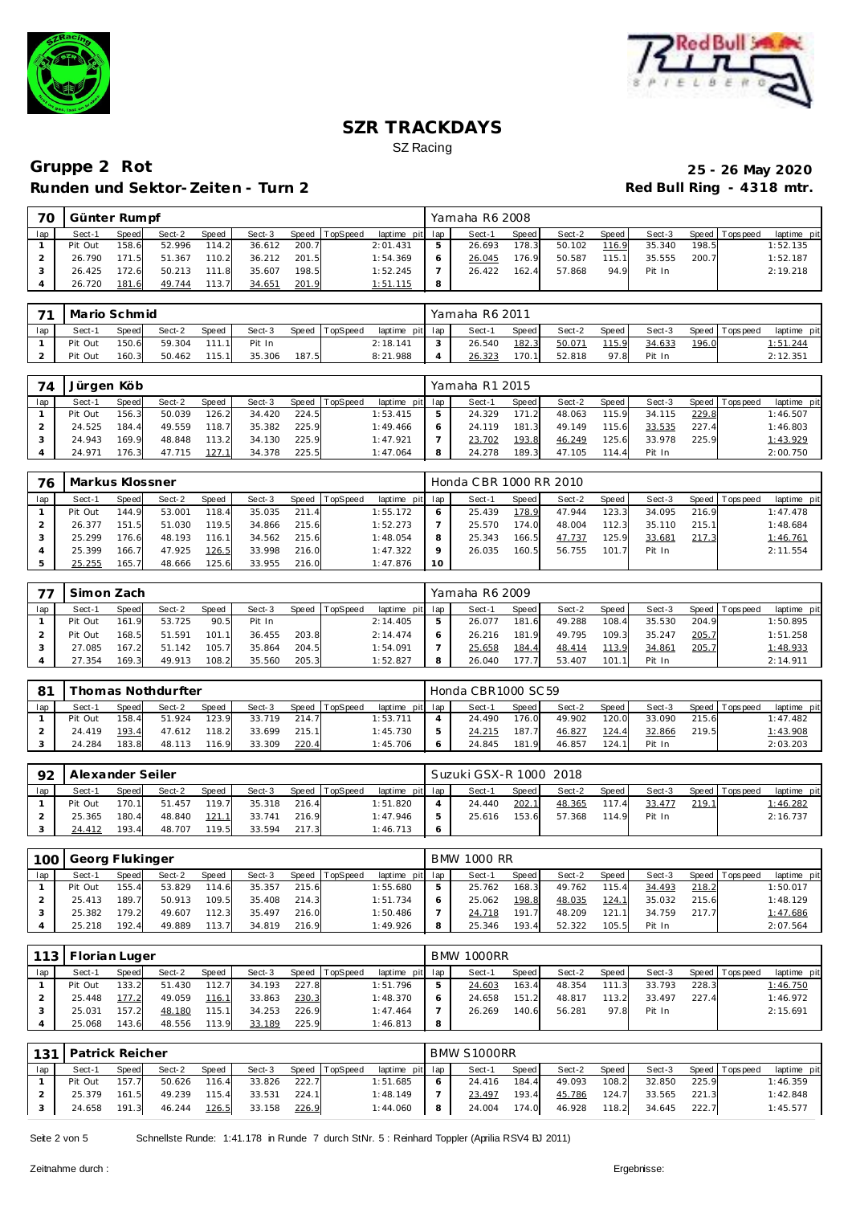



## **Gruppe 2 Rot 25 - 26 May 2020 Runden und Sektor-Zeiten - Turn 2**

| 70  | Günter Rumpf |       |        |       |        |       |          |                 |   | Yamaha R6 2008 |       |        |                    |        |       |                 |             |
|-----|--------------|-------|--------|-------|--------|-------|----------|-----------------|---|----------------|-------|--------|--------------------|--------|-------|-----------------|-------------|
| lap | Sect-1       | Speed | Sect-2 | Speed | Sect-3 | Speed | TopSpeed | laptime pit lap |   | Sect-1         | Speed | Sect-2 | Speed <sub>1</sub> | Sect-3 |       | Speed Tops peed | laptime pit |
|     | Pit Out      | 158.6 | 52.996 | 114.2 | 36.612 | 200.7 |          | 2:01.431        | 5 | 26.693         | 178.3 | 50.102 | 116.9              | 35.340 | 198.5 |                 | 1:52.135    |
|     | 26.790       | 171.5 | 51.367 | 110.2 | 36.212 | 201.5 |          | 1:54.369        |   | 26.045         | 176.9 | 50.587 | 115.1              | 35.555 | 200.7 |                 | 1:52.187    |
|     | 26.425       | 172.6 | 50.213 | 111.8 | 35.607 | 198.5 |          | 1:52.245        |   | 26.422         | 162.4 | 57.868 | 94.9               | Pit In |       |                 | 2:19.218    |
|     | 26.720       | 181.6 | 49.744 | 113.7 | 34.651 | 201.9 |          | 1:51.115        | 8 |                |       |        |                    |        |       |                 |             |

| $\overline{\phantom{a}}$ | Mario Schmid |              |        |              |        |       |                |                 |              | Yamaha R6 2011 |       |        |       |        |       |                |                |
|--------------------------|--------------|--------------|--------|--------------|--------|-------|----------------|-----------------|--------------|----------------|-------|--------|-------|--------|-------|----------------|----------------|
| lap                      | Sect-1       | <b>Speed</b> | Sect-2 | <b>Speed</b> | Sect-3 |       | Speed TopSpeed | laptime pit lap |              | Sect-1         | Speed | Sect-2 | Speed | Sect-3 |       | Speed Topspeed | laptime<br>pit |
|                          | Pit Out      | 150.6        | 59.304 | 111 1        | Pit In |       |                | 2:18.141        | $\mathbf{r}$ | 26.540         | 182.3 | 50.071 | 115.9 | 34.633 | 196.0 |                | 1:51.244       |
|                          | Pit Out      | 160.3        | 50.462 | 115.1        | 35.306 | 187.5 |                | 8:21.988        |              | 26.323         | 170.1 | 52.818 | 97.8  | Pit In |       |                | 2:12.351       |

| 74  | Jürgen Köb |       |        |              |        |       |                  |                 |   | Yamaha R1 2015 |       |        |       |        |       |                   |             |
|-----|------------|-------|--------|--------------|--------|-------|------------------|-----------------|---|----------------|-------|--------|-------|--------|-------|-------------------|-------------|
| lap | Sect-1     | Speed | Sect-2 | <b>Speed</b> | Sect-3 |       | Speed   TopSpeed | laptime pit lap |   | Sect-1         | Speed | Sect-2 | Speed | Sect-3 |       | Speed   Tops peed | laptime pit |
|     | Pit Out    | 156.3 | 50.039 | 126.2        | 34.420 | 224.5 |                  | 1:53.415        |   | 24.329         | 171.2 | 48.063 | 115.9 | 34.115 | 229.8 |                   | 1:46.507    |
|     | 24.525     | 184.4 | 49.559 | 118.7        | 35.382 | 225.9 |                  | 1:49.466        |   | 24.119         | 181.3 | 49.149 | 115.6 | 33.535 | 227.4 |                   | 1:46.803    |
|     | 24.943     | 169.9 | 48.848 | 113.2        | 34.130 | 225.9 |                  | 1:47.921        |   | 23.702         | 193.8 | 46.249 | 125.6 | 33.978 | 225.9 |                   | 1:43.929    |
|     | 24.971     | 176.3 | 47.715 | 127.1        | 34.378 | 225.5 |                  | 1:47.064        | 8 | 24.278         | 189.3 | 47.105 | 114.4 | Pit In |       |                   | 2:00.750    |

| 76  | Markus Klossner |       |        |       |        |       |          |                 |    | Honda CBR 1000 RR 2010 |       |        |         |        |       |                 |             |
|-----|-----------------|-------|--------|-------|--------|-------|----------|-----------------|----|------------------------|-------|--------|---------|--------|-------|-----------------|-------------|
| lap | Sect-1          | Speed | Sect-2 | Speed | Sect-3 | Speed | TopSpeed | laptime pit lap |    | Sect-1                 | Speed | Sect-2 | Speed I | Sect-3 |       | Speed Tops peed | laptime pit |
|     | Pit Out         | 144.9 | 53.001 | 118.4 | 35.035 | 211.4 |          | 1:55.172        |    | 25.439                 | 178.9 | 47.944 | 123.3   | 34.095 | 216.9 |                 | 1:47.478    |
|     | 26.377          | 151.5 | 51.030 | 119.5 | 34.866 | 215.6 |          | 1:52.273        |    | 25.570                 | 174.0 | 48.004 | 112.3   | 35.110 | 215.1 |                 | 1:48.684    |
|     | 25.299          | 176.6 | 48.193 | 116.1 | 34.562 | 215.6 |          | 1:48.054        |    | 25.343                 | 166.5 | 47.737 | 125.9   | 33.681 | 217.3 |                 | 1:46.761    |
|     | 25.399          | 166.7 | 47.925 | 126.5 | 33.998 | 216.0 |          | 1:47.322        |    | 26.035                 | 160.5 | 56.755 | 101.7   | Pit In |       |                 | 2:11.554    |
|     | 25.255          | 165.7 | 48.666 | 125.6 | 33.955 | 216.0 |          | 1:47.876        | 10 |                        |       |        |         |        |       |                 |             |

|     | Simon Zach |              |        |        |        |       |          |                 |   | Yamaha R6 2009 |       |        |       |        |       |                 |             |
|-----|------------|--------------|--------|--------|--------|-------|----------|-----------------|---|----------------|-------|--------|-------|--------|-------|-----------------|-------------|
| lap | Sect-1     | <b>Speed</b> | Sect-2 | Speed  | Sect-3 | Speed | TopSpeed | laptime pit lap |   | Sect-1         | Speed | Sect-2 | Speed | Sect-3 |       | Speed Tops peed | laptime pit |
|     | Pit Out    | 161.9        | 53.725 | 90.5   | Pit In |       |          | 2:14.405        |   | 26.077         | 181.6 | 49.288 | 108.4 | 35.530 | 204.9 |                 | 1:50.895    |
|     | Pit Out    | 168.5        | 51.591 | 101.1  | 36.455 | 203.8 |          | 2:14.474        |   | 26.216         | 181.9 | 49.795 | 109.3 | 35.247 | 205.7 |                 | 1:51.258    |
|     | 27.085     | 167.2        | 51.142 | 105.7  | 35.864 | 204.5 |          | 1:54.091        |   | 25.658         | 184.4 | 48.414 | 113.9 | 34.861 | 205.7 |                 | 1:48.933    |
|     | 27.354     | 169.3        | 49.913 | 108.21 | 35.560 | 205.3 |          | 1:52.827        | 8 | 26.040         | 177.  | 53.407 | 101.1 | Pit In |       |                 | 2:14.911    |

| 8 <sup>1</sup> |         |              | í homas Nothdurfter |       |        |       |                |                 | Honda CBR1000 SC 59 |            |        |       |        |       |                |             |
|----------------|---------|--------------|---------------------|-------|--------|-------|----------------|-----------------|---------------------|------------|--------|-------|--------|-------|----------------|-------------|
| lap            | Sect-1  | <b>Speed</b> | Sect-2              | Speed | Sect-3 |       | Speed TopSpeed | laptime pit lap | Sect-1              | Speed      | Sect-2 | Speed | Sect-3 |       | Speed Topspeed | laptime pit |
|                | Pit Out | 158.4        | 51.924              | 123.9 | 33.719 | 214.7 |                | 1:53.711        | 24.490              | 176.0      | 49.902 | 120.0 | 33.090 | 215.6 |                | 1:47.482    |
|                | 24.419  | 193.4        | 47.612              | 118.2 | 33.699 | 215.1 |                | 1:45.730        | 24.215              | 187.7      | 46.827 | 124.4 | 32.866 | 219.5 |                | 1:43.908    |
|                | 24.284  | 183.8        | 48.113              | 116.9 | 33.309 | 220.4 |                | 1:45.706        | 24.845              | 181<br>- 9 | 46.857 | 124.1 | Pit In |       |                | 2:03.203    |

| 92  |         | Alexander Seiler<br>Speed TopSpeed<br>Speed<br>Sect-2<br>Sect-3<br><b>Speed</b><br>170.1<br>119.7<br>216.4<br>35.318<br>51.457<br>180.4<br>48.840<br>121.1<br>216.9<br>33.741 |        |       |        |       |  |                 |            | Suzuki GSX-R 1000 2018 |       |        |       |        |       |                   |                 |
|-----|---------|-------------------------------------------------------------------------------------------------------------------------------------------------------------------------------|--------|-------|--------|-------|--|-----------------|------------|------------------------|-------|--------|-------|--------|-------|-------------------|-----------------|
| lap | Sect-1  |                                                                                                                                                                               |        |       |        |       |  | laptime pit lap |            | Sect-1                 | Speed | Sect-2 | Speed | Sect-3 |       | Speed   Tops peed | laptime pit     |
|     | Pit Out |                                                                                                                                                                               |        |       |        |       |  | 1:51.820        |            | 24.440                 | 202.1 | 48.365 | 117.4 | 33.477 | 219.1 |                   | <u>1:46.282</u> |
|     | 25.365  |                                                                                                                                                                               |        |       |        |       |  | 1:47.946        | 5          | 25.616                 | 153.6 | 57.368 | 114.9 | Pit In |       |                   | 2:16.737        |
|     | 24.412  | 193.4                                                                                                                                                                         | 48.707 | 119.5 | 33.594 | 217.3 |  | 1:46.713        | $\epsilon$ |                        |       |        |       |        |       |                   |                 |

| 100 | Georg Flukinger |       |        |       |        |       |                |                 |                | <b>BMW 1000 RR</b> |              |        |       |        |       |                 |             |
|-----|-----------------|-------|--------|-------|--------|-------|----------------|-----------------|----------------|--------------------|--------------|--------|-------|--------|-------|-----------------|-------------|
| lap | Sect-1          | Speed | Sect-2 | Speed | Sect-3 |       | Speed TopSpeed | laptime pit lap |                | Sect-1             | <b>Speed</b> | Sect-2 | Speed | Sect-3 |       | Speed Tops peed | laptime pit |
|     | Pit Out         | 155.4 | 53.829 | 114.6 | 35.357 | 215.6 |                | 1:55.680        | $\overline{5}$ | 25.762             | 168.3        | 49.762 | 115.4 | 34.493 | 218.2 |                 | 1:50.017    |
|     | 25.413          | 189.7 | 50.913 | 109.5 | 35.408 | 214.3 |                | 1:51.734        | 6              | 25.062             | 198.8        | 48.035 | 124.1 | 35.032 | 215.6 |                 | 1:48.129    |
|     | 25.382          | 179.2 | 49.607 | 112.3 | 35.497 | 216.0 |                | 1:50.486        |                | 24.718             | 191.7        | 48.209 | 121.1 | 34.759 | 217.7 |                 | 1:47.686    |
|     | 25.218          | 192.4 | 49.889 | 113.7 | 34.819 | 216.9 |                | 1:49.926        | 8              | 25.346             | 193.4        | 52.322 | 105.5 | Pit In |       |                 | 2:07.564    |

|     | 113   Florian Luger |       |        |              |        |       |                |                 |   | <b>BMW 1000RR</b> |       |        |       |        |       |                 |             |
|-----|---------------------|-------|--------|--------------|--------|-------|----------------|-----------------|---|-------------------|-------|--------|-------|--------|-------|-----------------|-------------|
| lap | Sect-1              | Speed | Sect-2 | <b>Speed</b> | Sect-3 |       | Speed TopSpeed | laptime pit lap |   | Sect-1            | Speed | Sect-2 | Speed | Sect-3 |       | Speed Tops peed | laptime pit |
|     | Pit Out             | 133.2 | 51.430 | 112.7        | 34.193 | 227.8 |                | 1:51.796        | 5 | 24.603            | 163.4 | 48.354 | 111.3 | 33.793 | 228.3 |                 | 1:46.750    |
|     | 25.448              | 177.2 | 49.059 | 116.1        | 33.863 | 230.3 |                | 1:48.370        | O | 24.658            | 151.2 | 48.817 | 113.2 | 33.497 | 227.4 |                 | 1:46.972    |
|     | 25.031              | 157.2 | 48.180 | 115.1        | 34.253 | 226.9 |                | 1:47.464        |   | 26.269            | 140.6 | 56.281 | 97.8  | Pit In |       |                 | 2:15.691    |
|     | 25.068              | 143.6 | 48.556 | 113.9        | 33.189 | 225.9 |                | 1:46.813        | 8 |                   |       |        |       |        |       |                 |             |

| 131 | Patrick Reicher |       |        |       |        |       |                |                 |     | BMW S1000RR |       |        |       |        |       |                 |             |
|-----|-----------------|-------|--------|-------|--------|-------|----------------|-----------------|-----|-------------|-------|--------|-------|--------|-------|-----------------|-------------|
| lap | Sect-1          | Speed | Sect-2 | Speed | Sect-3 |       | Speed TopSpeed | laptime pit lap |     | Sect-1      | Speed | Sect-2 | Speed | Sect-3 |       | Speed Tops peed | laptime pit |
|     | Pit Out         | 157.7 | 50.626 | 116.4 | 33.826 | 222.7 |                | 1:51.685        | - 6 | 24.416      | 184.4 | 49.093 | 108.2 | 32.850 | 225.9 |                 | 1:46.359    |
|     | 25.379          | 161.5 | 49.239 | 115.4 | 33.531 | 224.1 |                | 1:48.149        |     | 23.497      | 193.4 | 45.786 | 124.7 | 33.565 | 221.3 |                 | 1:42.848    |
|     | 24.658          | 191.3 | 46.244 | 126.5 | 33.158 | 226.9 |                | 1:44.060        | -8  | 24.004      | 174.0 | 46.928 | 118.2 | 34.645 | 222.7 |                 | 1:45.577    |

Seite 2 von 5 Schnellste Runde: 1:41.178 in Runde 7 durch StNr. 5 : Reinhard Toppler (Aprilia RSV4 BJ 2011)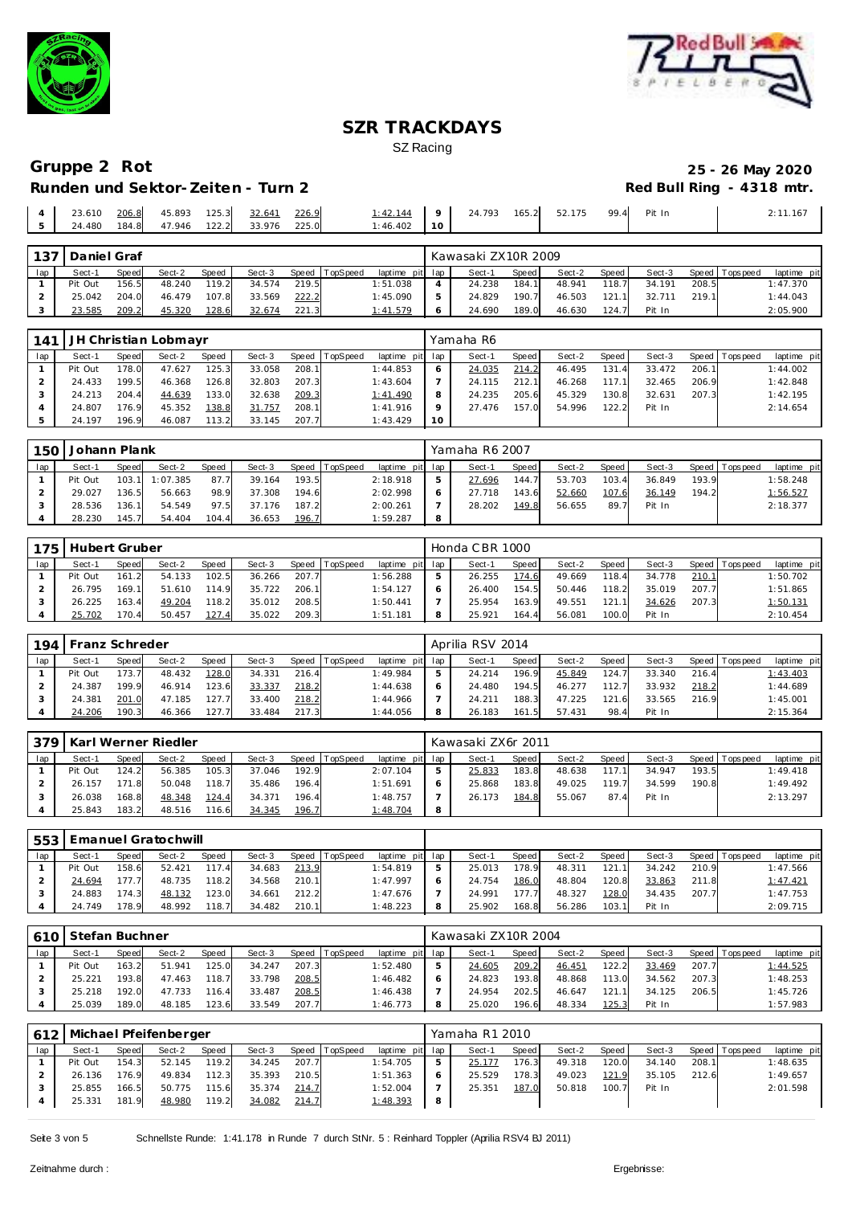



## **Gruppe 2 Rot 25 - 26 May 2020 Runden und Sektor-Zeiten - Turn 2**

| 23.610 | 206.8 | 45.893       | 125.3 | 32.641 | 226.9 | 1:42.144 |           | 24.793 | 165.2 | 52.175 | 99.4 | Pit In | 2:11.167 |
|--------|-------|--------------|-------|--------|-------|----------|-----------|--------|-------|--------|------|--------|----------|
| 24.480 | 184.8 | 47.946 122.2 |       | 33.976 | 225.0 | 1:46.402 | $10^{-7}$ |        |       |        |      |        |          |

| 137 | Daniel Graf |              |        |       |        |       |                |          |         | Kawasaki ZX10R 2009 |       |        |       |        |       |                |             |
|-----|-------------|--------------|--------|-------|--------|-------|----------------|----------|---------|---------------------|-------|--------|-------|--------|-------|----------------|-------------|
| lap | Sect-1      | <b>Speed</b> | Sect-2 | Speed | Sect-3 |       | Speed TopSpeed | laptime  | pit lap | Sect-1              | Speed | Sect-2 | Speed | Sect-3 |       | Speed Topspeed | laptime pit |
|     | Pit Out     | 156.5        | 48.240 | 119.2 | 34.574 | 219.5 |                | 1:51.038 |         | 24.238              | 184.  | 48.941 | 118.7 | 34.191 | 208.5 |                | 1:47.370    |
|     | 25.042      | 204.0        | 46.479 | 107.8 | 33.569 | 222.2 |                | 1:45.090 |         | 24.829              | 190.7 | 46.503 | 121.1 | 32.711 | 219.1 |                | 1:44.043    |
|     | 23.585      | 209.2        | 45.320 | 128.6 | 32.674 | 221.3 |                | 1:41.579 |         | 24.690              | 189.0 | 46.630 | 124.7 | Pit In |       |                | 2:05.900    |

| 141 |         |       | JH Christian Lobmayr |       |        |       |                |                 |    | Yamaha R6 |       |        |       |        |       |                |             |
|-----|---------|-------|----------------------|-------|--------|-------|----------------|-----------------|----|-----------|-------|--------|-------|--------|-------|----------------|-------------|
| lap | Sect-1  | Speed | Sect-2               | Speed | Sect-3 |       | Speed TopSpeed | laptime pit lap |    | Sect-1    | Speed | Sect-2 | Speed | Sect-3 |       | Speed Topspeed | laptime pit |
|     | Pit Out | 178.0 | 47.627               | 125.3 | 33.058 | 208.1 |                | 1:44.853        |    | 24.035    | 214.2 | 46.495 | 131.4 | 33.472 | 206.1 |                | 1:44.002    |
|     | 24.433  | 199.5 | 46.368               | 126.8 | 32.803 | 207.3 |                | 1:43.604        |    | 24.115    | 212.1 | 46.268 | 117.1 | 32.465 | 206.9 |                | 1:42.848    |
|     | 24.213  | 204.4 | 44.639               | 133.0 | 32.638 | 209.3 |                | 1:41.490        | 8  | 24.235    | 205.6 | 45.329 | 130.8 | 32.631 | 207.3 |                | 1:42.195    |
|     | 24.807  | 176.9 | 45.352               | 138.8 | 31.757 | 208.1 |                | 1:41.916        |    | 27.476    | 157.0 | 54.996 | 122.2 | Pit In |       |                | 2:14.654    |
|     | 24.197  | 196.9 | 46.087               | 113.2 | 33.145 | 207.7 |                | 1:43.429        | 10 |           |       |        |       |        |       |                |             |

| 150 | Johann Plank |       |                |       |        |       |                |                 |             | Yamaha R6 2007 |       |        |       |        |       |                |             |
|-----|--------------|-------|----------------|-------|--------|-------|----------------|-----------------|-------------|----------------|-------|--------|-------|--------|-------|----------------|-------------|
| lap | Sect-1       | Speed | Sect-2         | Speed | Sect-3 |       | Speed TopSpeed | laptime pit lap |             | Sect-1         | Speed | Sect-2 | Speed | Sect-3 |       | Speed Topspeed | laptime pit |
|     | Pit Out      |       | 103.1 1:07.385 | 87.7  | 39.164 | 193.5 |                | 2:18.918        | $5^{\circ}$ | 27.696         | 144.7 | 53.703 | 103.4 | 36.849 | 193.9 |                | 1:58.248    |
|     | 29.027       | 136.5 | 56.663         | 98.9  | 37.308 | 194.6 |                | 2:02.998        | 6           | 27.718         | 143.6 | 52.660 | 107.6 | 36.149 | 194.2 |                | 1:56.527    |
|     | 28.536       | 136.1 | 54.549         | 97.5  | 37.176 | 187.2 |                | 2:00.261        |             | 28.202         | 149.8 | 56.655 | 89.7  | Pit In |       |                | 2:18.377    |
|     | 28.230       | 145.7 | 54.404         | 104.4 | 36.653 | 196.7 |                | 1:59.287        | 8           |                |       |        |       |        |       |                |             |

| 175 | Hubert Gruber |              |        |       |        |       |                |                 | Honda CBR 1000 |       |        |       |        |       |                |             |
|-----|---------------|--------------|--------|-------|--------|-------|----------------|-----------------|----------------|-------|--------|-------|--------|-------|----------------|-------------|
| lap | Sect-1        | <b>Speed</b> | Sect-2 | Speed | Sect-3 |       | Speed TopSpeed | laptime pit lap | Sect-1         | Speed | Sect-2 | Speed | Sect-3 |       | Speed Topspeed | laptime pit |
|     | Pit Out       | 161.2        | 54.133 | 102.5 | 36.266 | 207.7 |                | 1:56.288        | 26.255         | 174.6 | 49.669 | 118.4 | 34.778 | 210.1 |                | 1:50.702    |
|     | 26.795        | 169.1        | 51.610 | 114.9 | 35.722 | 206.1 |                | 1:54.127        | 26.400         | 154.5 | 50.446 | 118.2 | 35.019 | 207.7 |                | 1:51.865    |
|     | 26.225        | 163.4        | 49.204 | 118.2 | 35.012 | 208.5 |                | 1:50.441        | 25.954         | 163.9 | 49.551 | 121.1 | 34.626 | 207.3 |                | 1:50.131    |
|     | 25.702        | 170.4        | 50.457 | 127.4 | 35.022 | 209.3 |                | 1:51.181        | 25.921         | 164.4 | 56.081 | 100.0 | Pit In |       |                | 2:10.454    |

| 194 |         | Franz Schreder |        |       |        |           |                 |                 | Aprilia RSV 2014 |       |        |       |        |       |                |             |
|-----|---------|----------------|--------|-------|--------|-----------|-----------------|-----------------|------------------|-------|--------|-------|--------|-------|----------------|-------------|
| lap | Sect-1  | Speed          | Sect-2 | Speed | Sect-3 | Speed   T | <b>TopSpeed</b> | laptime pit lap | Sect-1           | Speed | Sect-2 | Speed | Sect-3 |       | Speed Topspeed | laptime pit |
|     | Pit Out | 173.7          | 48.432 | 128.0 | 34.331 | 216.4     |                 | 1:49.984        | 24.214           | 196.9 | 45.849 | 124.7 | 33.340 | 216.4 |                | 1:43.403    |
|     | 24.387  | 199.9          | 46.914 | 123.6 | 33.337 | 218.2     |                 | 1:44.638        | 24.480           | 194.5 | 46.277 | 112.7 | 33.932 | 218.2 |                | 1:44.689    |
|     | 24.381  | 201.0          | 47.185 | 127.7 | 33.400 | 218.2     |                 | 1:44.966        | 24.211           | 188.3 | 47.225 | 121.6 | 33.565 | 216.9 |                | 1:45.001    |
|     | 24.206  | 190.3          | 46.366 | 127.7 | 33.484 | 217.3     |                 | 1:44.056        | 26.183           | 161.5 | 57.431 | 98.4  | Pit In |       |                | 2:15.364    |

| 379 |         |       | Karl Werner Riedler |       |        |       |                |                 |   | Kawasaki ZX6r 2011 |       |        |       |        |       |                 |             |
|-----|---------|-------|---------------------|-------|--------|-------|----------------|-----------------|---|--------------------|-------|--------|-------|--------|-------|-----------------|-------------|
|     | Sect-1  | Speed | Sect-2              | Speed | Sect-3 |       | Speed TopSpeed | laptime pit lap |   | Sect-1             | Speed | Sect-2 | Speed | Sect-3 |       | Speed Tops peed | laptime pit |
|     | Pit Out | 124.2 | 56.385              | 105.3 | 37.046 | 192.9 |                | 2:07.104        | 5 | 25.833             | 183.8 | 48.638 | 117.1 | 34.947 | 193.5 |                 | 1:49.418    |
|     | 26.157  | 171.8 | 50.048              | 118.7 | 35.486 | 196.4 |                | 1:51.691        | 6 | 25.868             | 183.8 | 49.025 | 119.7 | 34.599 | 190.8 |                 | 1:49.492    |
|     | 26.038  | 168.8 | 48.348              | 124.4 | 34.371 | 196.4 |                | 1:48.757        |   | 26.173             | 184.8 | 55.067 | 87.4  | Pit In |       |                 | 2:13.297    |
|     | 25.843  | 183.2 | 48.516              | 116.6 | 34.345 | 196.7 |                | 1:48.704        | 8 |                    |       |        |       |        |       |                 |             |

|     | 553   Emanuel Gratochwill |       |        |              |        |       |                |                 |   |        |              |        |       |        |       |                 |             |
|-----|---------------------------|-------|--------|--------------|--------|-------|----------------|-----------------|---|--------|--------------|--------|-------|--------|-------|-----------------|-------------|
| lap | Sect-1                    | Speed | Sect-2 | <b>Speed</b> | Sect-3 |       | Speed TopSpeed | laptime pit lap |   | Sect-1 | <b>Speed</b> | Sect-2 | Speed | Sect-3 |       | Speed Tops peed | laptime pit |
|     | Pit Out                   | 158.6 | 52.421 | 117.4        | 34.683 | 213.9 |                | 1:54.819        | ь | 25.013 | 178.9        | 48.311 | 121.1 | 34.242 | 210.9 |                 | 1:47.566    |
|     | 24.694                    | 177.7 | 48.735 | 118.2        | 34.568 | 210.1 |                | 1:47.997        | 6 | 24.754 | 186.0        | 48.804 | 120.8 | 33.863 | 211.8 |                 | 1:47.421    |
|     | 24.883                    | 174.3 | 48.132 | 123.0        | 34.661 | 212.2 |                | 1:47.676        |   | 24.991 | 177.7        | 48.327 | 128.0 | 34.435 | 207.7 |                 | 1:47.753    |
|     | 24.749                    | 178.9 | 48.992 | 118.7        | 34.482 | 210.1 |                | 1:48.223        | 8 | 25.902 | 168.8        | 56.286 | 103.1 | Pit In |       |                 | 2:09.715    |

| 610 | Stefan Buchner |       |        |              |        |       |                |                 | Kawasaki ZX10R 2004 |       |        |         |        |       |                 |                 |
|-----|----------------|-------|--------|--------------|--------|-------|----------------|-----------------|---------------------|-------|--------|---------|--------|-------|-----------------|-----------------|
| lap | Sect-1         | Speed | Sect-2 | <b>Speed</b> | Sect-3 |       | Speed TopSpeed | laptime pit lap | Sect-1              | Speed | Sect-2 | Speed I | Sect-3 |       | Speed Tops peed | laptime pit     |
|     | Pit Out        | 163.2 | 51.941 | 125.0        | 34.247 | 207.3 |                | 1:52.480        | 24.605              | 209.2 | 46.451 | 22.2    | 33.469 | 207.7 |                 | <u>1:44.525</u> |
|     | 25.221         | 193.8 | 47.463 | 118.7        | 33.798 | 208.5 |                | 1:46.482        | 24.823              | 193.8 | 48.868 | 113.0   | 34.562 | 207.3 |                 | 1:48.253        |
|     | 25.218         | 192.0 | 47.733 | 116.4        | 33.487 | 208.5 |                | 1:46.438        | 24.954              | 202.5 | 46.647 | 121.1   | 34.125 | 206.5 |                 | 1:45.726        |
|     | 25.039         | 189.0 | 48.185 | 123.6        | 33.549 | 207.7 |                | 1:46.773        | 25.020              | 196.6 | 48.334 | 125.3   | Pit In |       |                 | 1:57.983        |

|     |         |       | Michael Pfeifenberger |       |        |       |                |                 |     | Yamaha R1 2010 |       |        |         |        |       |                 |             |
|-----|---------|-------|-----------------------|-------|--------|-------|----------------|-----------------|-----|----------------|-------|--------|---------|--------|-------|-----------------|-------------|
| lap | Sect-1  | Speed | Sect-2                | Speed | Sect-3 |       | Speed TopSpeed | laptime pit lap |     | Sect-1         | Speed | Sect-2 | Speed I | Sect-3 |       | Speed Tops peed | laptime pit |
|     | Pit Out | 154.3 | 52.145                | 119.2 | 34.245 | 207.7 |                | 1:54.705        |     | 25.177         | 176.3 | 49.318 | 120.0   | 34.140 | 208.1 |                 | 1:48.635    |
|     | 26.136  | 176.9 | 49.834                | 112.3 | 35.393 | 210.5 |                | 1:51.363        |     | 25.529         | 178.3 | 49.023 | 121.9   | 35.105 | 212.6 |                 | 1:49.657    |
|     | 25.855  | 166.5 | 50.775                | 115.6 | 35.374 | 214.7 |                | 1:52.004        |     | 25.351         | 187.0 | 50.818 | 100.7   | Pit In |       |                 | 2:01.598    |
|     | 25.331  | 181.9 | 48.980                | 119.2 | 34.082 | 214.7 |                | 1:48.393        | - 8 |                |       |        |         |        |       |                 |             |

Seite 3 von 5 Schnellste Runde: 1:41.178 in Runde 7 durch StNr. 5 : Reinhard Toppler (Aprilia RSV4 BJ 2011)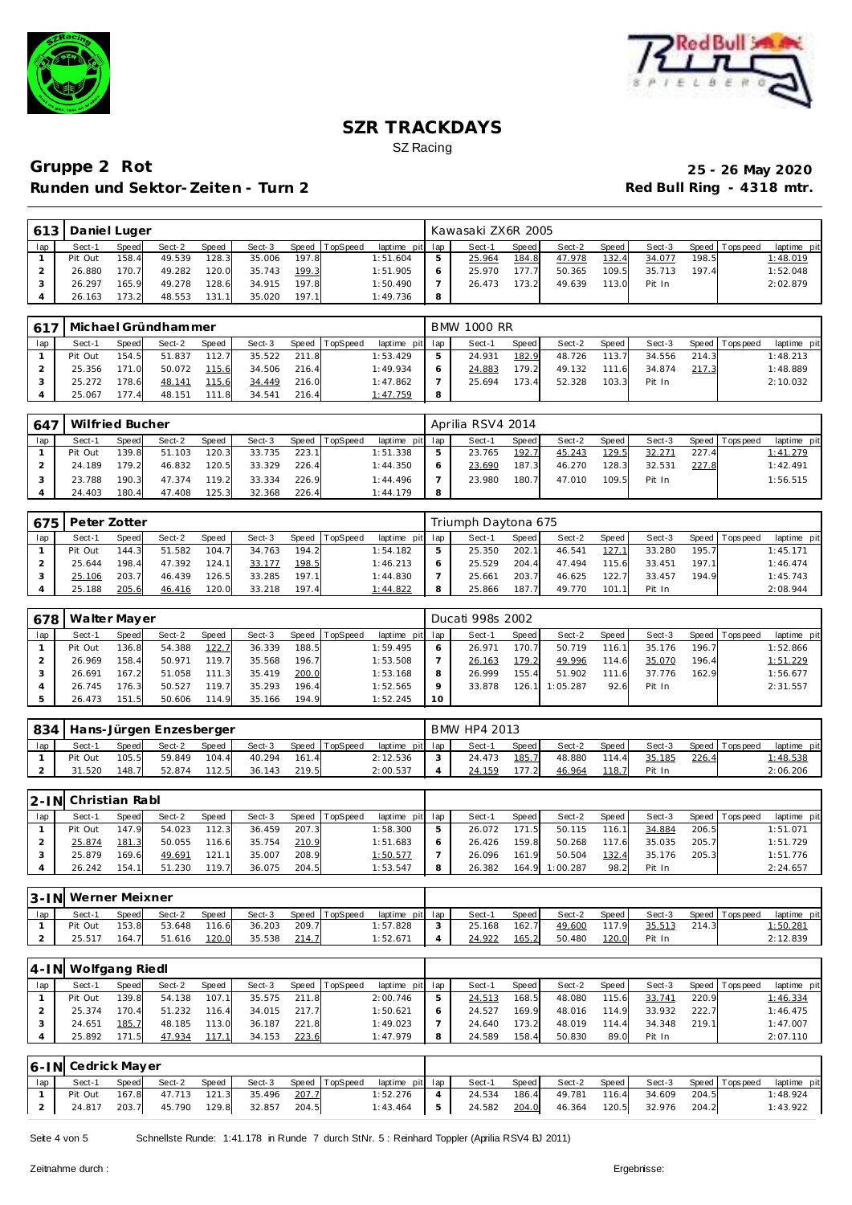



# **Gruppe 2 Rot 25 - 26 May 2020** Runden und Sektor-Zeiten - Turn 2 **Red Bull Ring - 4318 mtr.**

| 613 |         | Daniel Luger<br>Speed  <br>TopSpeed<br>Sect-2<br>Sect-3<br><b>Speed</b><br>Speed<br>128.3<br>49.539<br>158.4<br>197.8<br>35.006 |        |       |        |       |  |                 | Kawasaki ZX6R 2005 |         |        |       |        |       |                 |             |
|-----|---------|---------------------------------------------------------------------------------------------------------------------------------|--------|-------|--------|-------|--|-----------------|--------------------|---------|--------|-------|--------|-------|-----------------|-------------|
|     | Sect-1  |                                                                                                                                 |        |       |        |       |  | laptime pit lap | Sect-1             | Speed I | Sect-2 | Speed | Sect-3 |       | Speed Tops peed | laptime pit |
|     | Pit Out |                                                                                                                                 |        |       |        |       |  | 1:51.604        | 25.964             | 184.8   | 47.978 | 132.4 | 34.077 | 198.5 |                 | 1:48.019    |
|     | 26.880  | 170.7                                                                                                                           | 49.282 | 120.0 | 35.743 | 199.3 |  | 1:51.905        | 25.970             | 177.7   | 50.365 | 109.5 | 35.713 | 197.4 |                 | 1:52.048    |
|     | 26.297  | 165.9                                                                                                                           | 49.278 | 128.6 | 34.915 | 197.8 |  | 1:50.490        | 26.473             | 173.2   | 49.639 | 113.0 | Pit In |       |                 | 2:02.879    |
|     | 26.163  | 73.2                                                                                                                            | 48.553 | 131.1 | 35.020 | 197.1 |  | 1:49.736        |                    |         |        |       |        |       |                 |             |

| 617 |         |              | Michael Gründhammer |       |        |       |                |                 | <b>BMW 1000 RR</b> |         |        |         |        |       |                 |             |
|-----|---------|--------------|---------------------|-------|--------|-------|----------------|-----------------|--------------------|---------|--------|---------|--------|-------|-----------------|-------------|
| lap | Sect-1  | <b>Speed</b> | Sect-2              | Speed | Sect-3 |       | Speed TopSpeed | laptime pit lap | Sect-1             | Speed I | Sect-2 | Speed I | Sect-3 |       | Speed Tops peed | laptime pit |
|     | Pit Out | 154.5        | 51.837              | 112.7 | 35.522 | 211.8 |                | 1:53.429        | 24.931             | 182.9   | 48.726 | 113.7   | 34.556 | 214.3 |                 | 1:48.213    |
|     | 25.356  | 171.0        | 50.072              | 115.6 | 34.506 | 216.4 |                | 1:49.934        | 24.883             | 179.2   | 49.132 | 111.6   | 34.874 | 217.3 |                 | 1:48.889    |
|     | 25.272  | 178.6        | 48.141              | 115.6 | 34.449 | 216.0 |                | 1:47.862        | 25.694             | 173.4   | 52.328 | 103.3   | Pit In |       |                 | 2:10.032    |
|     | 25.067  | 177.4        | 48.151              | 111.8 | 34.541 | 216.4 |                | 1:47.759        |                    |         |        |         |        |       |                 |             |

| 647 | Wilfried Bucher |       |        |       |        |       |                  |                 |         | Aprilia RSV4 2014 |       |        |       |        |       |                 |             |
|-----|-----------------|-------|--------|-------|--------|-------|------------------|-----------------|---------|-------------------|-------|--------|-------|--------|-------|-----------------|-------------|
| lap | Sect-1          | Speed | Sect-2 | Speed | Sect-3 |       | Speed   TopSpeed | laptime pit lap |         | Sect-1            | Speed | Sect-2 | Speed | Sect-3 |       | Speed Tops peed | laptime pit |
|     | Pit Out         | 139.8 | 51.103 | 120.3 | 33.735 | 223.1 |                  | 1:51.338        | 5       | 23.765            | 192.7 | 45.243 | 129.5 | 32.271 | 227.4 |                 | 1:41.279    |
|     | 24.189          | 179.2 | 46.832 | 120.5 | 33.329 | 226.4 |                  | 1:44.350        | $\circ$ | 23.690            | 187.3 | 46.270 | 128.3 | 32.531 | 227.8 |                 | 1:42.491    |
|     | 23.788          | 190.3 | 47.374 | 119.2 | 33.334 | 226.9 |                  | 1:44.496        |         | 23.980            | 180.7 | 47.010 | 109.5 | Pit In |       |                 | 1:56.515    |
|     | 24.403          | 180.4 | 47.408 | 125.3 | 32.368 | 226.4 |                  | 1:44.179        | 8       |                   |       |        |       |        |       |                 |             |

| 675 | Peter Zotter |       |        |              |        |       |                 |                 | Triumph Daytona 675 |       |        |                |        |       |                |             |
|-----|--------------|-------|--------|--------------|--------|-------|-----------------|-----------------|---------------------|-------|--------|----------------|--------|-------|----------------|-------------|
| lap | Sect-1       | Speed | Sect-2 | <b>Speed</b> | Sect-3 | Speed | <b>TopSpeed</b> | laptime pit lap | Sect-1              | Speed | Sect-2 | Speed <b>i</b> | Sect-3 |       | Speed Topspeed | laptime pit |
|     | Pit Out      | 144.3 | 51.582 | 104.7        | 34.763 | 194.2 |                 | : 54.182        | 25.350              | 202.1 | 46.541 | 127.1          | 33.280 | 195.7 |                | 1:45.171    |
|     | 25.644       | 198.4 | 47.392 | 124.1        | 33.177 | 198.5 |                 | 1:46.213        | 25.529              | 204.4 | 47.494 | 115.6          | 33.451 | 197.1 |                | 1:46.474    |
|     | 25.106       | 203.7 | 46.439 | 126.5        | 33.285 | 197.1 |                 | 1:44.830        | 25.661              | 203.7 | 46.625 | 122.           | 33.457 | 194.9 |                | 1:45.743    |
|     | 25.188       | 205.6 | 46.416 | 120.0        | 33.218 | 197.4 |                 | 1:44.822        | 25.866              | 187.7 | 49.770 | 101.1          | Pit In |       |                | 2:08.944    |

| 678 | Walter Mayer |       |        |        |        |       |                |             |             | Ducati 998s 2002 |              |          |        |        |       |                 |             |
|-----|--------------|-------|--------|--------|--------|-------|----------------|-------------|-------------|------------------|--------------|----------|--------|--------|-------|-----------------|-------------|
| lap | Sect-1       | Speed | Sect-2 | Speed  | Sect-3 |       | Speed TopSpeed | laptime pit | lap         | Sect-1           | <b>Speed</b> | Sect-2   | Speed  | Sect-3 |       | Speed Tops peed | laptime pit |
|     | Pit Out      | 136.8 | 54.388 | 122.7  | 36.339 | 188.5 |                | 1:59.495    | 6           | 26.971           | 170.7        | 50.719   | 116.1. | 35.176 | 196.7 |                 | 1:52.866    |
|     | 26.969       | 158.4 | 50.971 | 119.7  | 35.568 | 196.7 |                | 1:53.508    |             | 26.163           | 179.2        | 49.996   | 114.6  | 35.070 | 196.4 |                 | 1:51.229    |
|     | 26.691       | 167.2 | 51.058 | 111.3  | 35.419 | 200.0 |                | 1:53.168    | 8           | 26.999           | 155.4        | 51.902   | 111.6  | 37.776 | 162.9 |                 | 1:56.677    |
|     | 26.745       | 176.3 | 50.527 | 119.7. | 35.293 | 196.4 |                | 1:52.565    | $\mathbf Q$ | 33.878           | 126.1        | 1:05.287 | 92.6   | Pit In |       |                 | 2:31.557    |
|     | 26.473       | 151.5 | 50.606 | 114.9  | 35.166 | 194.9 |                | 1:52.245    | 10          |                  |              |          |        |        |       |                 |             |

| 834 |         |              | Hans-Jürgen Enzesberger |       |        |       |                |                 |        | BMW HP4 2013 |       |        |         |        |       |                |             |
|-----|---------|--------------|-------------------------|-------|--------|-------|----------------|-----------------|--------|--------------|-------|--------|---------|--------|-------|----------------|-------------|
| lap | Sect-1  | <b>Speed</b> | Sect-2                  | Speed | Sect-3 |       | Speed TopSpeed | laptime pit lap |        | Sect-1       | Speed | Sect-2 | Speed I | Sect-3 |       | Speed Topspeed | laptime pit |
|     | Pit Out | 105.5        | 59.849                  | 104.4 | 40.294 | 161.4 |                | 2:12.536        | $\sim$ | 24.473       | 185.7 | 48.880 | 114.4   | 35.185 | 226.4 |                | 1:48.538    |
|     | .520    | 148.7        | 52.874                  | 112.5 | 36.143 | 219.5 |                | 2:00.537        |        | 24.159       | 177.2 | 46.964 | 118.7   | Pit In |       |                | 2:06.206    |

|     | 2-IN Christian Rabl |              |        |              |        |       |          |                 |   |        |         |          |         |        |       |                 |             |
|-----|---------------------|--------------|--------|--------------|--------|-------|----------|-----------------|---|--------|---------|----------|---------|--------|-------|-----------------|-------------|
| lap | Sect-1              | <b>Speed</b> | Sect-2 | <b>Speed</b> | Sect-3 | Speed | TopSpeed | laptime pit lap |   | Sect-1 | Speed I | Sect-2   | Speed i | Sect-3 |       | Speed Tops peed | laptime pit |
|     | Pit Out             | 147.9        | 54.023 | 112.3        | 36.459 | 207.3 |          | 1:58.300        | 5 | 26.072 | 171.5   | 50.115   | 116.1   | 34.884 | 206.5 |                 | 1:51.071    |
|     | 25.874              | 181.3        | 50.055 | 116.6        | 35.754 | 210.9 |          | 1:51.683        |   | 26.426 | 159.8   | 50.268   | 117.6   | 35.035 | 205.7 |                 | 1:51.729    |
|     | 25.879              | 169.6        | 49.691 | 121.1        | 35.007 | 208.9 |          | 1:50.577        |   | 26.096 | 161.9   | 50.504   | 132.4   | 35.176 | 205.3 |                 | 1:51.776    |
|     | 26.242              | 154.1        | 51.230 | 119.7        | 36.075 | 204.5 |          | 1:53.547        |   | 26.382 | 164.9   | 1:00.287 | 98.2    | Pit In |       |                 | 2:24.657    |

|     | 3-IN Werner Meixner |       |        |       |        |       |          |                 |               |        |       |        |       |        |       |                |                 |
|-----|---------------------|-------|--------|-------|--------|-------|----------|-----------------|---------------|--------|-------|--------|-------|--------|-------|----------------|-----------------|
| lap | Sect-               | Speed | Sect-2 | Speed | Sect-3 | Speed | TopSpeed | laptime pit lap |               | Sect-  | Speed | Sect-2 | Speed | Sect-3 |       | Speed Topspeed | laptime pit     |
|     | Pit Out             | 153.8 | 53.648 | 116.6 | 36.203 | 209.7 |          | 1:57.828        | $\mathcal{L}$ | 25.168 | 162.7 | 49.600 | 117.9 | 35.513 | 214.3 |                | <u>1:50.281</u> |
| ∠   | 25.517              | 164.7 | 51.616 | 120.0 | 35.538 | 214.7 |          | 1:52.671        |               | 24.922 | 165.2 | 50.480 | 120.0 | Pit In |       |                | 2:12.839        |

|     | 4-IN Wolfgang Riedl |       |        |       |        |       |          |                 |   |        |       |        |       |        |       |                |             |
|-----|---------------------|-------|--------|-------|--------|-------|----------|-----------------|---|--------|-------|--------|-------|--------|-------|----------------|-------------|
| lap | Sect-1              | Speed | Sect-2 | Speed | Sect-3 | Speed | TopSpeed | laptime pit lap |   | Sect-1 | Speed | Sect-2 | Speed | Sect-3 |       | Speed Topspeed | laptime pit |
|     | Pit Out             | 139.8 | 54.138 | 107.1 | 35.575 | 211.8 |          | 2:00.746        |   | 24.513 | 168.5 | 48.080 | 115.6 | 33.741 | 220.9 |                | 1:46.334    |
|     | 25.374              | 170.4 | 51.232 | 116.4 | 34.015 | 217.7 |          | 1:50.621        |   | 24.527 | 169.9 | 48.016 | 114.9 | 33.932 | 222.7 |                | 1:46.475    |
|     | 24.651              | 185.7 | 48.185 | 113.0 | 36.187 | 221.8 |          | 1:49.023        |   | 24.640 | 173.2 | 48.019 | 114.4 | 34.348 | 219.1 |                | 1:47.007    |
|     | 25.892              | 171.5 | 47.934 | 117.1 | 34.153 | 223.6 |          | 1:47.979        | 8 | 24.589 | 158.4 | 50.830 | 89.0  | Pit In |       |                | 2:07.110    |

|    | 6-IN Cedrick Mayer |       |        |       |                                              |  |  |                 |                                                     |                    |                       |  |             |  |
|----|--------------------|-------|--------|-------|----------------------------------------------|--|--|-----------------|-----------------------------------------------------|--------------------|-----------------------|--|-------------|--|
| ap | Sect-1             | Speed | Sect-2 | Speed | Sect-3 Speed TopSpeed                        |  |  | laptime pit lap | Sect-1                                              | Speed Sect-2 Speed | Sect-3 Speed Topspeed |  | laptime pit |  |
|    |                    |       |        |       | Pit Out  167.8  47.713  121.3  35.496  207.7 |  |  |                 | $1:52.276$ 4 24.534 186.4 49.781 116.4 34.609 204.5 |                    |                       |  | 1:48.924    |  |
|    |                    |       |        |       | 2 24.817 203.7 45.790 129.8 32.857 204.5     |  |  |                 | 1:43.464 5 24.582 204.0 46.364 120.5 32.976 204.2   |                    |                       |  | 1:43.922    |  |

Seite 4 von 5 Schnellste Runde: 1:41.178 in Runde 7 durch StNr. 5 : Reinhard Toppler (Aprilia RSV4 BJ 2011)